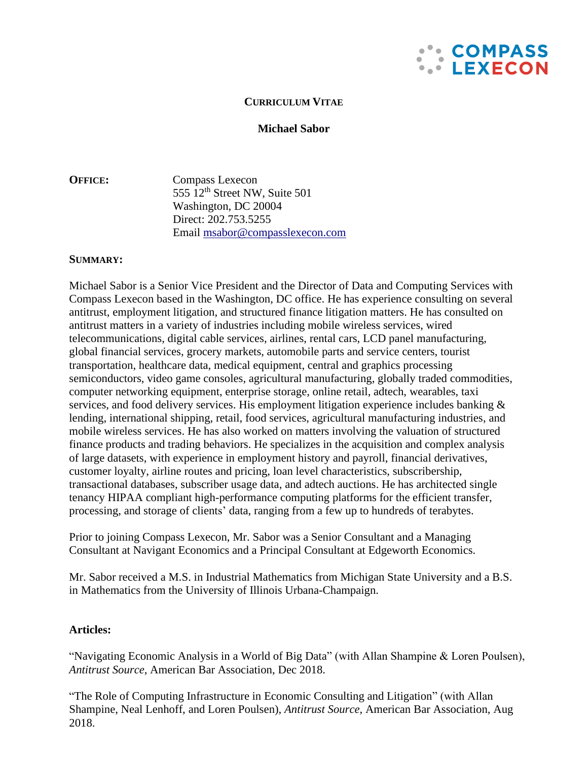

# **CURRICULUM VITAE**

# **Michael Sabor**

**OFFICE:** Compass Lexecon 555  $12<sup>th</sup>$  Street NW, Suite 501 Washington, DC 20004 Direct: 202.753.5255 Email [msabor@compasslexecon.com](mailto:msabor@compasslexecon.com)

### **SUMMARY:**

Michael Sabor is a Senior Vice President and the Director of Data and Computing Services with Compass Lexecon based in the Washington, DC office. He has experience consulting on several antitrust, employment litigation, and structured finance litigation matters. He has consulted on antitrust matters in a variety of industries including mobile wireless services, wired telecommunications, digital cable services, airlines, rental cars, LCD panel manufacturing, global financial services, grocery markets, automobile parts and service centers, tourist transportation, healthcare data, medical equipment, central and graphics processing semiconductors, video game consoles, agricultural manufacturing, globally traded commodities, computer networking equipment, enterprise storage, online retail, adtech, wearables, taxi services, and food delivery services. His employment litigation experience includes banking & lending, international shipping, retail, food services, agricultural manufacturing industries, and mobile wireless services. He has also worked on matters involving the valuation of structured finance products and trading behaviors. He specializes in the acquisition and complex analysis of large datasets, with experience in employment history and payroll, financial derivatives, customer loyalty, airline routes and pricing, loan level characteristics, subscribership, transactional databases, subscriber usage data, and adtech auctions. He has architected single tenancy HIPAA compliant high-performance computing platforms for the efficient transfer, processing, and storage of clients' data, ranging from a few up to hundreds of terabytes.

Prior to joining Compass Lexecon, Mr. Sabor was a Senior Consultant and a Managing Consultant at Navigant Economics and a Principal Consultant at Edgeworth Economics.

Mr. Sabor received a M.S. in Industrial Mathematics from Michigan State University and a B.S. in Mathematics from the University of Illinois Urbana-Champaign.

# **Articles:**

"Navigating Economic Analysis in a World of Big Data" (with Allan Shampine & Loren Poulsen), *Antitrust Source*, American Bar Association, Dec 2018.

"The Role of Computing Infrastructure in Economic Consulting and Litigation" (with Allan Shampine, Neal Lenhoff, and Loren Poulsen), *Antitrust Source*, American Bar Association, Aug 2018.